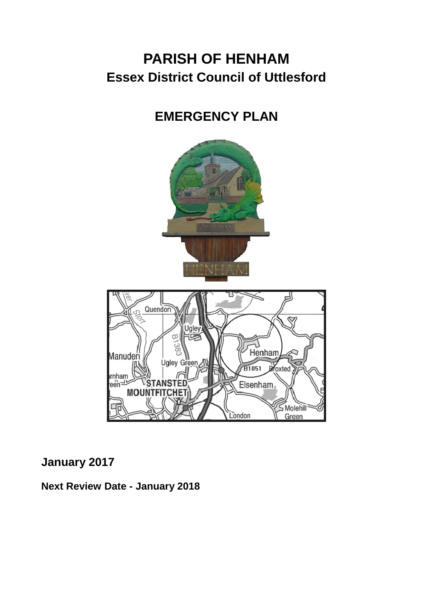# **PARISH OF HENHAM Essex District Council of Uttlesford**

# **EMERGENCY PLAN**



## **January 2017**

**Next Review Date - January 2018**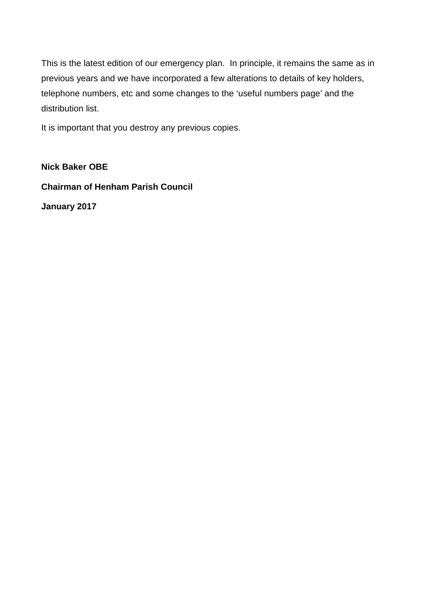This is the latest edition of our emergency plan. In principle, it remains the same as in previous years and we have incorporated a few alterations to details of key holders, telephone numbers, etc and some changes to the 'useful numbers page' and the distribution list.

It is important that you destroy any previous copies.

**Nick Baker OBE Chairman of Henham Parish Council January 2017**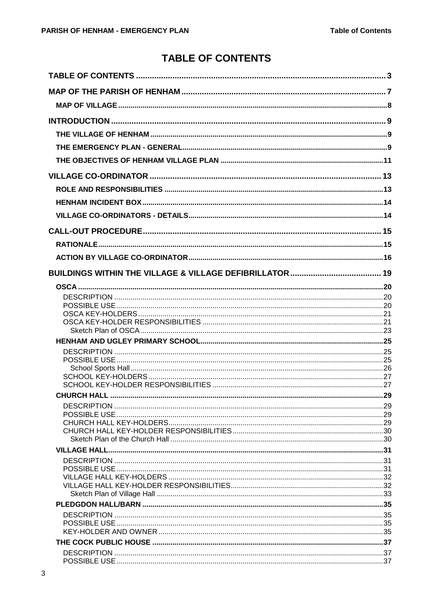## **TABLE OF CONTENTS**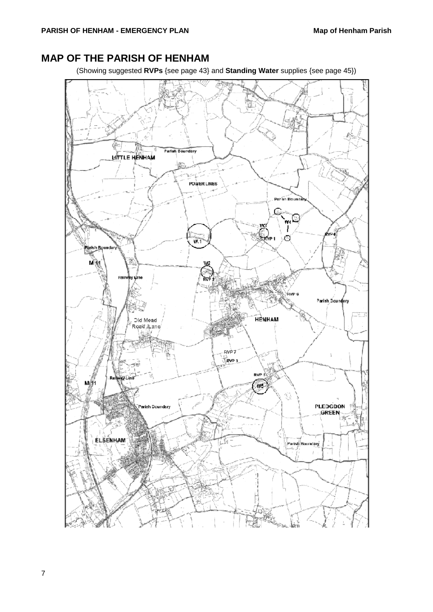## <span id="page-6-0"></span>**MAP OF THE PARISH OF HENHAM**

(Showing suggested **RVPs** {see page [43}](#page-42-0) and **Standing Water** supplies {see page [45}](#page-44-0))

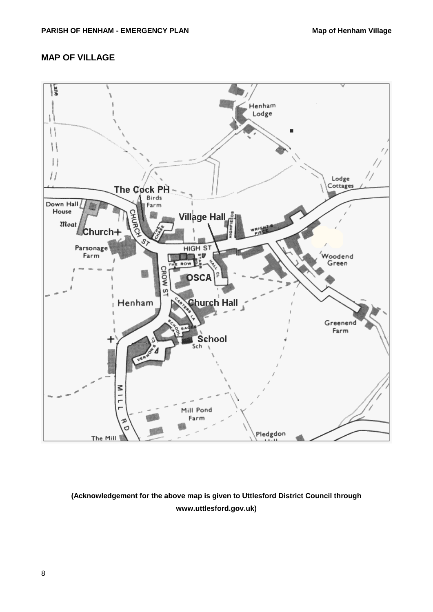## **MAP OF VILLAGE**



## **(Acknowledgement for the above map is given to Uttlesford District Council through www.uttlesford.gov.uk)**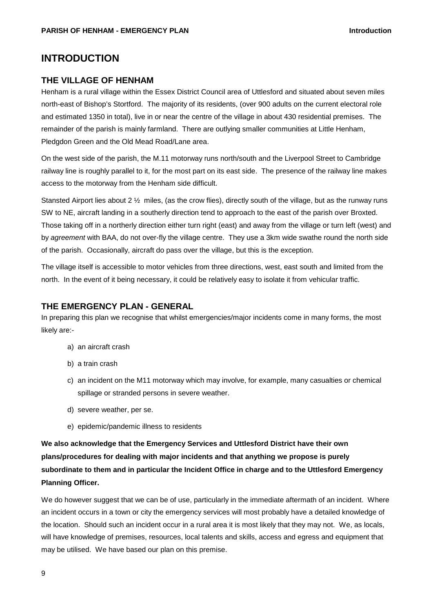## **INTRODUCTION**

#### **THE VILLAGE OF HENHAM**

Henham is a rural village within the Essex District Council area of Uttlesford and situated about seven miles north-east of Bishop's Stortford. The majority of its residents, (over 900 adults on the current electoral role and estimated 1350 in total), live in or near the centre of the village in about 430 residential premises. The remainder of the parish is mainly farmland. There are outlying smaller communities at Little Henham, Pledgdon Green and the Old Mead Road/Lane area.

On the west side of the parish, the M.11 motorway runs north/south and the Liverpool Street to Cambridge railway line is roughly parallel to it, for the most part on its east side. The presence of the railway line makes access to the motorway from the Henham side difficult.

Stansted Airport lies about 2 ½ miles, (as the crow flies), directly south of the village, but as the runway runs SW to NE, aircraft landing in a southerly direction tend to approach to the east of the parish over Broxted. Those taking off in a northerly direction either turn right (east) and away from the village or turn left (west) and by *agreement* with BAA, do not over-fly the village centre. They use a 3km wide swathe round the north side of the parish. Occasionally, aircraft do pass over the village, but this is the exception.

The village itself is accessible to motor vehicles from three directions, west, east south and limited from the north. In the event of it being necessary, it could be relatively easy to isolate it from vehicular traffic.

#### **THE EMERGENCY PLAN - GENERAL**

In preparing this plan we recognise that whilst emergencies/major incidents come in many forms, the most likely are:-

- a) an aircraft crash
- b) a train crash
- c) an incident on the M11 motorway which may involve, for example, many casualties or chemical spillage or stranded persons in severe weather.
- d) severe weather, per se.
- e) epidemic/pandemic illness to residents

**We also acknowledge that the Emergency Services and Uttlesford District have their own plans/procedures for dealing with major incidents and that anything we propose is purely subordinate to them and in particular the Incident Office in charge and to the Uttlesford Emergency Planning Officer.**

We do however suggest that we can be of use, particularly in the immediate aftermath of an incident. Where an incident occurs in a town or city the emergency services will most probably have a detailed knowledge of the location. Should such an incident occur in a rural area it is most likely that they may not. We, as locals, will have knowledge of premises, resources, local talents and skills, access and egress and equipment that may be utilised. We have based our plan on this premise.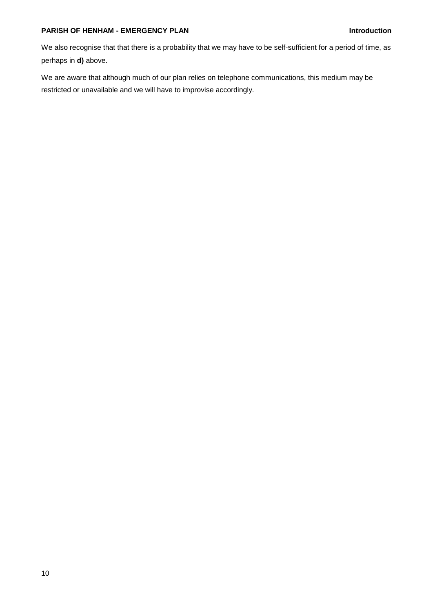#### **PARISH OF HENHAM - EMERGENCY PLAN Introduction**

We also recognise that that there is a probability that we may have to be self-sufficient for a period of time, as perhaps in **d)** above.

We are aware that although much of our plan relies on telephone communications, this medium may be restricted or unavailable and we will have to improvise accordingly.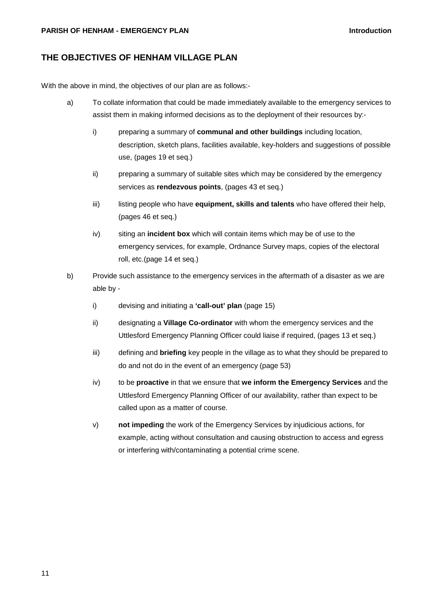#### **PARISH OF HENHAM - EMERGENCY PLAN Introduction**

### **THE OBJECTIVES OF HENHAM VILLAGE PLAN**

With the above in mind, the objectives of our plan are as follows:-

- a) To collate information that could be made immediately available to the emergency services to assist them in making informed decisions as to the deployment of their resources by:
	- i) preparing a summary of **communal and other buildings** including location, description, sketch plans, facilities available, key-holders and suggestions of possible use, (pages [19](#page-18-0) et seq.)
	- ii) preparing a summary of suitable sites which may be considered by the emergency services as **rendezvous points**, (pages [43](#page-42-0) et seq.)
	- iii) listing people who have **equipment, skills and talents** who have offered their help, (pages [46](#page-45-0) et seq.)
	- iv) siting an **incident box** which will contain items which may be of use to the emergency services, for example, Ordnance Survey maps, copies of the electoral roll, etc.(page [14](#page-13-0) et seq.)
- b) Provide such assistance to the emergency services in the aftermath of a disaster as we are able by
	- i) devising and initiating a **'call-out' plan** (page [15\)](#page-14-0)
	- ii) designating a **Village Co-ordinator** with whom the emergency services and the Uttlesford Emergency Planning Officer could liaise if required, (pages [13](#page-12-0) et seq.)
	- iii) defining and **briefing** key people in the village as to what they should be prepared to do and not do in the event of an emergency (page [53\)](#page-52-0)
	- iv) to be **proactive** in that we ensure that **we inform the Emergency Services** and the Uttlesford Emergency Planning Officer of our availability, rather than expect to be called upon as a matter of course.
	- v) **not impeding** the work of the Emergency Services by injudicious actions, for example, acting without consultation and causing obstruction to access and egress or interfering with/contaminating a potential crime scene.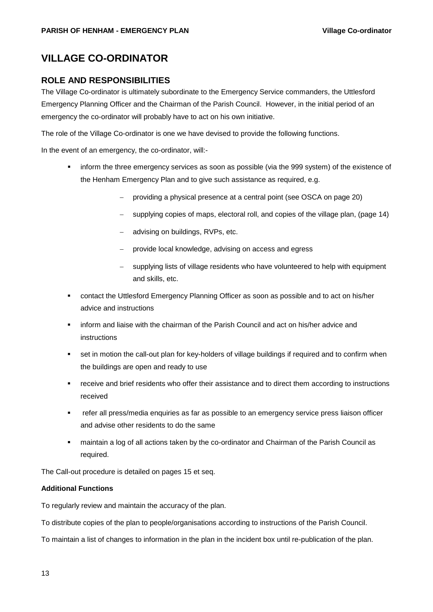## <span id="page-12-0"></span>**VILLAGE CO-ORDINATOR**

### **ROLE AND RESPONSIBILITIES**

The Village Co-ordinator is ultimately subordinate to the Emergency Service commanders, the Uttlesford Emergency Planning Officer and the Chairman of the Parish Council. However, in the initial period of an emergency the co-ordinator will probably have to act on his own initiative.

The role of the Village Co-ordinator is one we have devised to provide the following functions.

In the event of an emergency, the co-ordinator, will:-

- inform the three emergency services as soon as possible (via the 999 system) of the existence of the Henham Emergency Plan and to give such assistance as required, e.g.
	- − providing a physical presence at a central point (see OSCA on page [20\)](#page-19-0)
	- supplying copies of maps, electoral roll, and copies of the village plan, (page [14\)](#page-13-0)
	- advising on buildings, RVPs, etc.
	- provide local knowledge, advising on access and egress
	- supplying lists of village residents who have volunteered to help with equipment and skills, etc.
- contact the Uttlesford Emergency Planning Officer as soon as possible and to act on his/her advice and instructions
- inform and liaise with the chairman of the Parish Council and act on his/her advice and instructions
- set in motion the call-out plan for key-holders of village buildings if required and to confirm when the buildings are open and ready to use
- receive and brief residents who offer their assistance and to direct them according to instructions received
- refer all press/media enquiries as far as possible to an emergency service press liaison officer and advise other residents to do the same
- maintain a log of all actions taken by the co-ordinator and Chairman of the Parish Council as required.

The Call-out procedure is detailed on pages [15](#page-14-0) et seq.

#### **Additional Functions**

To regularly review and maintain the accuracy of the plan.

To distribute copies of the plan to people/organisations according to instructions of the Parish Council.

To maintain a list of changes to information in the plan in the incident box until re-publication of the plan.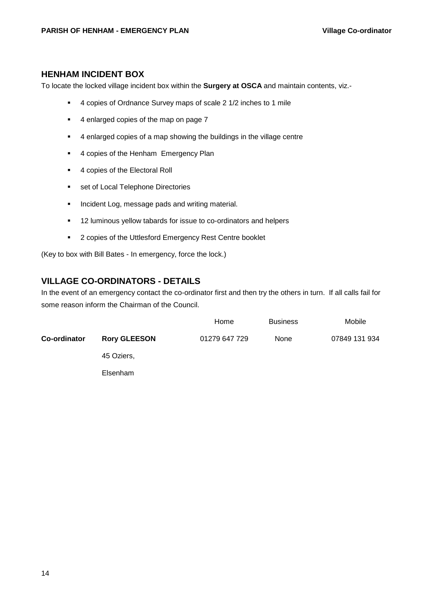#### <span id="page-13-0"></span>**HENHAM INCIDENT BOX**

To locate the locked village incident box within the **Surgery at OSCA** and maintain contents, viz.-

- 4 copies of Ordnance Survey maps of scale 2 1/2 inches to 1 mile
- 4 enlarged copies of the map on page [7](#page-6-0)
- 4 enlarged copies of a map showing the buildings in the village centre
- 4 copies of the Henham Emergency Plan
- 4 copies of the Electoral Roll
- **set of Local Telephone Directories**
- Incident Log, message pads and writing material.
- <sup>12</sup> luminous yellow tabards for issue to co-ordinators and helpers
- **2 copies of the Uttlesford Emergency Rest Centre booklet**

(Key to box with Bill Bates - In emergency, force the lock.)

### **VILLAGE CO-ORDINATORS - DETAILS**

In the event of an emergency contact the co-ordinator first and then try the others in turn. If all calls fail for some reason inform the Chairman of the Council.

|              |                     | Home          | <b>Business</b> | Mobile        |
|--------------|---------------------|---------------|-----------------|---------------|
| Co-ordinator | <b>Rory GLEESON</b> | 01279 647 729 | None            | 07849 131 934 |
|              | 45 Oziers,          |               |                 |               |
|              | Elsenham            |               |                 |               |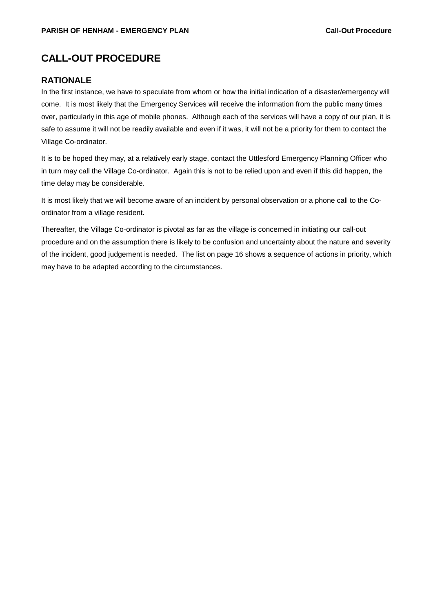## <span id="page-14-0"></span>**CALL-OUT PROCEDURE**

### **RATIONALE**

In the first instance, we have to speculate from whom or how the initial indication of a disaster/emergency will come. It is most likely that the Emergency Services will receive the information from the public many times over, particularly in this age of mobile phones. Although each of the services will have a copy of our plan, it is safe to assume it will not be readily available and even if it was, it will not be a priority for them to contact the Village Co-ordinator.

It is to be hoped they may, at a relatively early stage, contact the Uttlesford Emergency Planning Officer who in turn may call the Village Co-ordinator. Again this is not to be relied upon and even if this did happen, the time delay may be considerable.

It is most likely that we will become aware of an incident by personal observation or a phone call to the Coordinator from a village resident.

Thereafter, the Village Co-ordinator is pivotal as far as the village is concerned in initiating our call-out procedure and on the assumption there is likely to be confusion and uncertainty about the nature and severity of the incident, good judgement is needed. The list on page [16](#page-15-0) shows a sequence of actions in priority, which may have to be adapted according to the circumstances.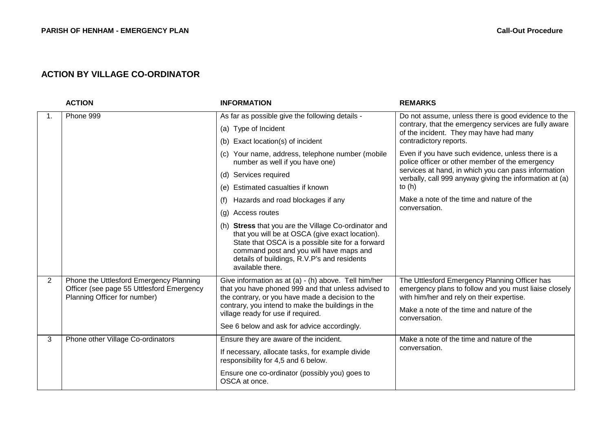## **ACTION BY VILLAGE CO-ORDINATOR**

<span id="page-15-0"></span>

|                | <b>ACTION</b>                                                                                                        | <b>INFORMATION</b>                                                                                                                                                                                                                                                        | <b>REMARKS</b>                                                                                                                                                                                                    |
|----------------|----------------------------------------------------------------------------------------------------------------------|---------------------------------------------------------------------------------------------------------------------------------------------------------------------------------------------------------------------------------------------------------------------------|-------------------------------------------------------------------------------------------------------------------------------------------------------------------------------------------------------------------|
| 1.             | Phone 999                                                                                                            | As far as possible give the following details -                                                                                                                                                                                                                           | Do not assume, unless there is good evidence to the                                                                                                                                                               |
|                |                                                                                                                      | (a) Type of Incident                                                                                                                                                                                                                                                      | contrary, that the emergency services are fully aware<br>of the incident. They may have had many                                                                                                                  |
|                |                                                                                                                      | (b) Exact location(s) of incident                                                                                                                                                                                                                                         | contradictory reports.                                                                                                                                                                                            |
|                |                                                                                                                      | (c) Your name, address, telephone number (mobile<br>number as well if you have one)                                                                                                                                                                                       | Even if you have such evidence, unless there is a<br>police officer or other member of the emergency                                                                                                              |
|                |                                                                                                                      | (d) Services required                                                                                                                                                                                                                                                     | services at hand, in which you can pass information<br>verbally, call 999 anyway giving the information at (a)                                                                                                    |
|                |                                                                                                                      | (e) Estimated casualties if known                                                                                                                                                                                                                                         | to $(h)$                                                                                                                                                                                                          |
|                |                                                                                                                      | Hazards and road blockages if any<br>(f)                                                                                                                                                                                                                                  | Make a note of the time and nature of the                                                                                                                                                                         |
|                |                                                                                                                      | (g) Access routes                                                                                                                                                                                                                                                         | conversation.                                                                                                                                                                                                     |
|                |                                                                                                                      | (h) Stress that you are the Village Co-ordinator and<br>that you will be at OSCA (give exact location).<br>State that OSCA is a possible site for a forward<br>command post and you will have maps and<br>details of buildings, R.V.P's and residents<br>available there. |                                                                                                                                                                                                                   |
| $\overline{2}$ | Phone the Uttlesford Emergency Planning<br>Officer (see page 55 Uttlesford Emergency<br>Planning Officer for number) | Give information as at (a) - (h) above. Tell him/her<br>that you have phoned 999 and that unless advised to<br>the contrary, or you have made a decision to the<br>contrary, you intend to make the buildings in the<br>village ready for use if required.                | The Uttlesford Emergency Planning Officer has<br>emergency plans to follow and you must liaise closely<br>with him/her and rely on their expertise.<br>Make a note of the time and nature of the<br>conversation. |
|                |                                                                                                                      | See 6 below and ask for advice accordingly.                                                                                                                                                                                                                               |                                                                                                                                                                                                                   |
| 3              | Phone other Village Co-ordinators                                                                                    | Ensure they are aware of the incident.                                                                                                                                                                                                                                    | Make a note of the time and nature of the<br>conversation.                                                                                                                                                        |
|                |                                                                                                                      | If necessary, allocate tasks, for example divide<br>responsibility for 4,5 and 6 below.                                                                                                                                                                                   |                                                                                                                                                                                                                   |
|                |                                                                                                                      | Ensure one co-ordinator (possibly you) goes to<br>OSCA at once.                                                                                                                                                                                                           |                                                                                                                                                                                                                   |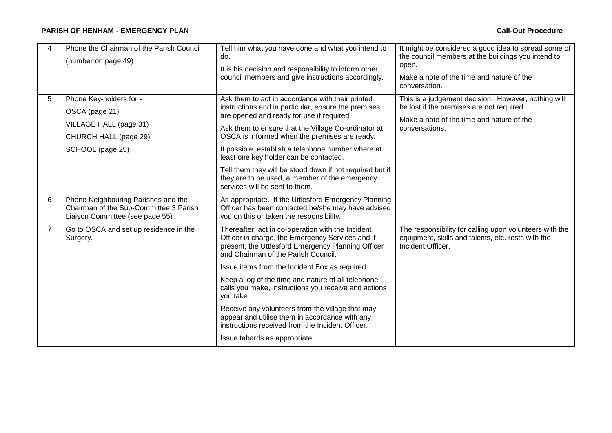#### **PARISH OF HENHAM - EMERGENCY PLAN Call-Out Procedure**

| 4              | Phone the Chairman of the Parish Council<br>(number on page 49)                                                  | Tell him what you have done and what you intend to<br>do.<br>It is his decision and responsibility to inform other<br>council members and give instructions accordingly.                                                                                                                                                                                                                                                                                                                                                                                                   | It might be considered a good idea to spread some of<br>the council members at the buildings you intend to<br>open.<br>Make a note of the time and nature of the<br>conversation. |
|----------------|------------------------------------------------------------------------------------------------------------------|----------------------------------------------------------------------------------------------------------------------------------------------------------------------------------------------------------------------------------------------------------------------------------------------------------------------------------------------------------------------------------------------------------------------------------------------------------------------------------------------------------------------------------------------------------------------------|-----------------------------------------------------------------------------------------------------------------------------------------------------------------------------------|
| 5              | Phone Key-holders for -<br>OSCA (page 21)<br>VILLAGE HALL (page 31)<br>CHURCH HALL (page 29)<br>SCHOOL (page 25) | Ask them to act in accordance with their printed<br>instructions and in particular, ensure the premises<br>are opened and ready for use if required.<br>Ask them to ensure that the Village Co-ordinator at<br>OSCA is informed when the premises are ready.<br>If possible, establish a telephone number where at                                                                                                                                                                                                                                                         | This is a judgement decision. However, nothing will<br>be lost if the premises are not required.<br>Make a note of the time and nature of the<br>conversations.                   |
|                |                                                                                                                  | least one key holder can be contacted.<br>Tell them they will be stood down if not required but if<br>they are to be used, a member of the emergency<br>services will be sent to them.                                                                                                                                                                                                                                                                                                                                                                                     |                                                                                                                                                                                   |
| 6              | Phone Neighbouring Parishes and the<br>Chairman of the Sub-Committee 3 Parish<br>Liaison Committee (see page 55) | As appropriate. If the Uttlesford Emergency Planning<br>Officer has been contacted he/she may have advised<br>you on this or taken the responsibility.                                                                                                                                                                                                                                                                                                                                                                                                                     |                                                                                                                                                                                   |
| $\overline{7}$ | Go to OSCA and set up residence in the<br>Surgery.                                                               | Thereafter, act in co-operation with the Incident<br>Officer in charge, the Emergency Services and if<br>present, the Uttlesford Emergency Planning Officer<br>and Chairman of the Parish Council.<br>Issue items from the Incident Box as required.<br>Keep a log of the time and nature of all telephone<br>calls you make, instructions you receive and actions<br>you take.<br>Receive any volunteers from the village that may<br>appear and utilise them in accordance with any<br>instructions received from the Incident Officer.<br>Issue tabards as appropriate. | The responsibility for calling upon volunteers with the<br>equipment, skills and talents, etc. rests with the<br>Incident Officer.                                                |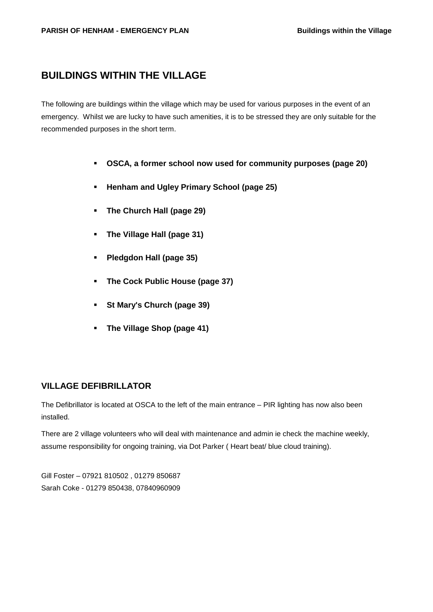## <span id="page-18-0"></span>**BUILDINGS WITHIN THE VILLAGE**

The following are buildings within the village which may be used for various purposes in the event of an emergency. Whilst we are lucky to have such amenities, it is to be stressed they are only suitable for the recommended purposes in the short term.

- **OSCA, a former school now used for community purposes (page [20\)](#page-19-0)**
- **Henham and Ugley Primary School (page [25\)](#page-24-1)**
- **The Church Hall (page [29\)](#page-28-1)**
- **The Village Hall (page [31\)](#page-30-1)**
- **Pledgdon Hall (page [35\)](#page-34-0)**
- **The Cock Public House (page [37\)](#page-36-0)**
- **St Mary's Church (page [39\)](#page-38-0)**
- **The Village Shop (page [41\)](#page-40-0)**

#### **VILLAGE DEFIBRILLATOR**

The Defibrillator is located at OSCA to the left of the main entrance – PIR lighting has now also been installed.

There are 2 village volunteers who will deal with maintenance and admin ie check the machine weekly, assume responsibility for ongoing training, via Dot Parker ( Heart beat/ blue cloud training).

Gill Foster – 07921 810502 , 01279 850687 Sarah Coke - 01279 850438, 07840960909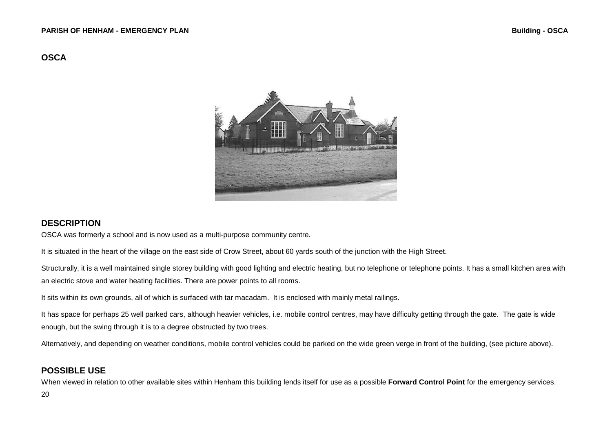### **OSCA**



#### <span id="page-19-0"></span>**DESCRIPTION**

OSCA was formerly a school and is now used as a multi-purpose community centre.

It is situated in the heart of the village on the east side of Crow Street, about 60 yards south of the junction with the High Street.

Structurally, it is a well maintained single storey building with good lighting and electric heating, but no telephone or telephone points. It has a small kitchen area with an electric stove and water heating facilities. There are power points to all rooms.

It sits within its own grounds, all of which is surfaced with tar macadam. It is enclosed with mainly metal railings.

It has space for perhaps 25 well parked cars, although heavier vehicles, i.e. mobile control centres, may have difficulty getting through the gate. The gate is wide enough, but the swing through it is to a degree obstructed by two trees.

Alternatively, and depending on weather conditions, mobile control vehicles could be parked on the wide green verge in front of the building, (see picture above).

### **POSSIBLE USE**

When viewed in relation to other available sites within Henham this building lends itself for use as a possible **Forward Control Point** for the emergency services.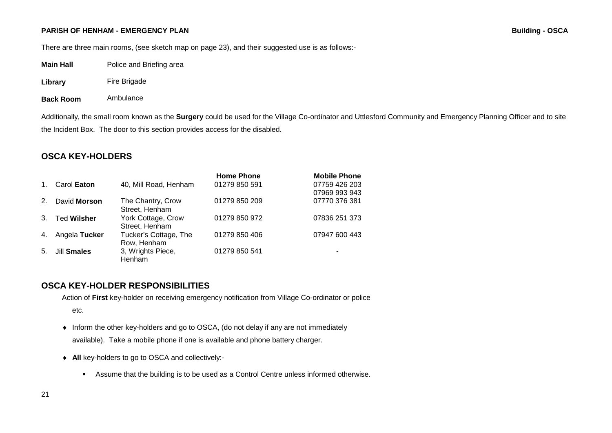There are three main rooms, (see sketch map on page [23\)](#page-21-0), and their suggested use is as follows:-

| Main Hall | Police and Briefing area |
|-----------|--------------------------|
|-----------|--------------------------|

**Library** Fire Brigade

**Back Room** Ambulance

<span id="page-20-0"></span>Additionally, the small room known as the **Surgery** could be used for the Village Co-ordinator and Uttlesford Community and Emergency Planning Officer and to site the Incident Box. The door to this section provides access for the disabled.

### **OSCA KEY-HOLDERS**

|             |                    |                       | <b>Home Phone</b> | <b>Mobile Phone</b> |
|-------------|--------------------|-----------------------|-------------------|---------------------|
| $1_{\cdot}$ | Carol Eaton        | 40, Mill Road, Henham | 01279 850 591     | 07759 426 203       |
|             |                    |                       |                   | 07969 993 943       |
| 2.          | David Morson       | The Chantry, Crow     | 01279 850 209     | 07770 376 381       |
|             |                    | Street, Henham        |                   |                     |
| 3.          | <b>Ted Wilsher</b> | York Cottage, Crow    | 01279 850 972     | 07836 251 373       |
|             |                    | Street, Henham        |                   |                     |
| 4.          | Angela Tucker      | Tucker's Cottage, The | 01279 850 406     | 07947 600 443       |
|             |                    | Row, Henham           |                   |                     |
| 5.          | Jill Smales        | 3, Wrights Piece,     | 01279 850 541     |                     |
|             |                    | Henham                |                   |                     |

### **OSCA KEY-HOLDER RESPONSIBILITIES**

Action of **First** key-holder on receiving emergency notification from Village Co-ordinator or police

etc.

- ♦ Inform the other key-holders and go to OSCA, (do not delay if any are not immediately available). Take a mobile phone if one is available and phone battery charger.
- ♦ **All** key-holders to go to OSCA and collectively:-
	- Assume that the building is to be used as a Control Centre unless informed otherwise.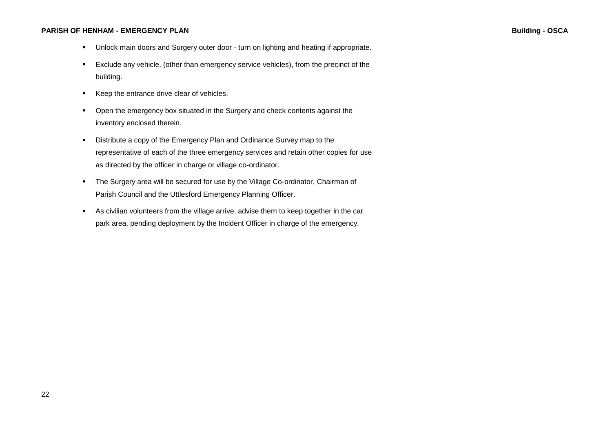- Unlock main doors and Surgery outer door turn on lighting and heating if appropriate.
- Exclude any vehicle, (other than emergency service vehicles), from the precinct of the building.
- Keep the entrance drive clear of vehicles.
- Open the emergency box situated in the Surgery and check contents against the inventory enclosed therein.
- Distribute a copy of the Emergency Plan and Ordinance Survey map to the representative of each of the three emergency services and retain other copies for use as directed by the officer in charge or village co-ordinator.
- The Surgery area will be secured for use by the Village Co-ordinator, Chairman of Parish Council and the Uttlesford Emergency Planning Officer.
- <span id="page-21-0"></span> As civilian volunteers from the village arrive, advise them to keep together in the car park area, pending deployment by the Incident Officer in charge of the emergency.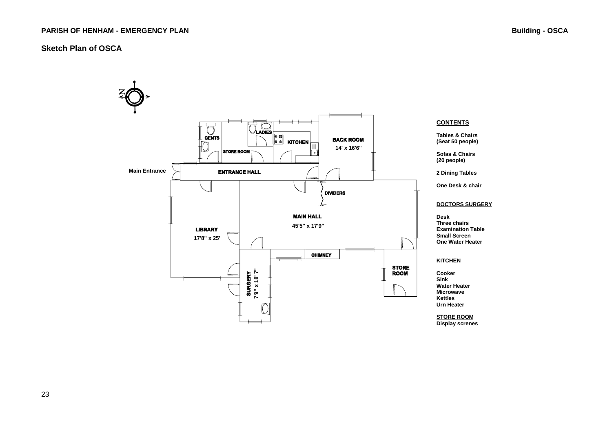#### **Sketch Plan of OSCA**

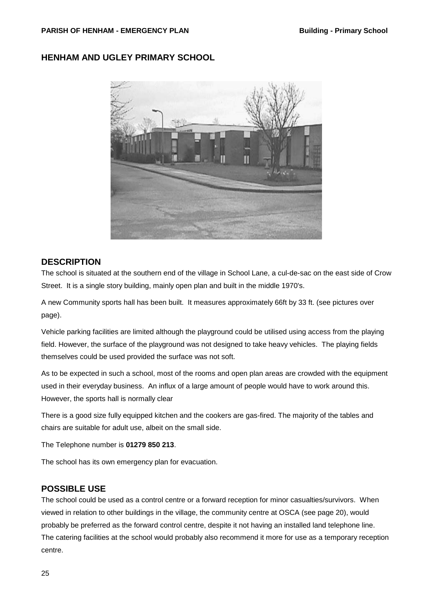#### <span id="page-24-0"></span>**PARISH OF HENHAM - EMERGENCY PLAN Building - Primary School**

## <span id="page-24-1"></span>**HENHAM AND UGLEY PRIMARY SCHOOL**



#### **DESCRIPTION**

The school is situated at the southern end of the village in School Lane, a cul-de-sac on the east side of Crow Street. It is a single story building, mainly open plan and built in the middle 1970's.

A new Community sports hall has been built. It measures approximately 66ft by 33 ft. (see pictures over page).

Vehicle parking facilities are limited although the playground could be utilised using access from the playing field. However, the surface of the playground was not designed to take heavy vehicles. The playing fields themselves could be used provided the surface was not soft.

As to be expected in such a school, most of the rooms and open plan areas are crowded with the equipment used in their everyday business. An influx of a large amount of people would have to work around this. However, the sports hall is normally clear

There is a good size fully equipped kitchen and the cookers are gas-fired. The majority of the tables and chairs are suitable for adult use, albeit on the small side.

The Telephone number is **01279 850 213**.

The school has its own emergency plan for evacuation.

#### **POSSIBLE USE**

The school could be used as a control centre or a forward reception for minor casualties/survivors. When viewed in relation to other buildings in the village, the community centre at OSCA (see page [20\)](#page-19-0), would probably be preferred as the forward control centre, despite it not having an installed land telephone line. The catering facilities at the school would probably also recommend it more for use as a temporary reception centre.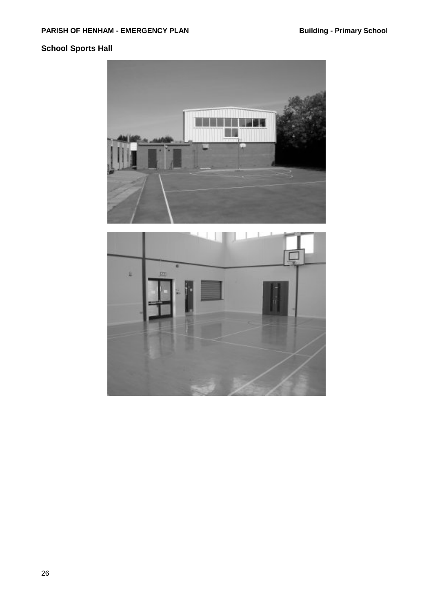## **School Sports Hall**



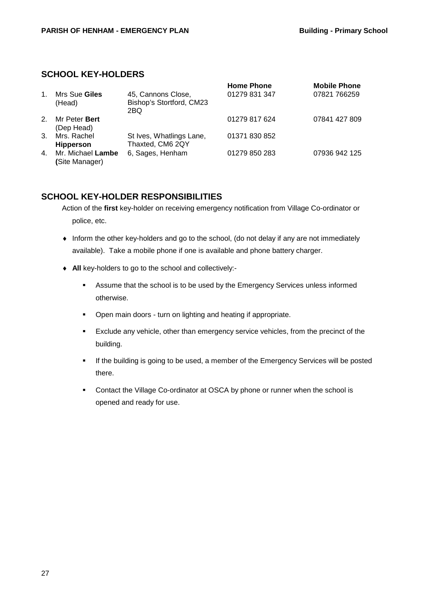### **SCHOOL KEY-HOLDERS**

| $\mathbf{1}$ . | Mrs Sue Giles<br>(Head)             | 45, Cannons Close,<br>Bishop's Stortford, CM23<br>2BQ | <b>Home Phone</b><br>01279 831 347 | <b>Mobile Phone</b><br>07821 766259 |
|----------------|-------------------------------------|-------------------------------------------------------|------------------------------------|-------------------------------------|
| 2 <sup>1</sup> | Mr Peter Bert<br>(Dep Head)         |                                                       | 01279 817 624                      | 07841 427 809                       |
| $3_{-}$        | Mrs. Rachel<br><b>Hipperson</b>     | St Ives, Whatlings Lane,<br>Thaxted, CM6 2QY          | 01371 830 852                      |                                     |
| 4.             | Mr. Michael Lambe<br>(Site Manager) | 6, Sages, Henham                                      | 01279 850 283                      | 07936 942 125                       |

### **SCHOOL KEY-HOLDER RESPONSIBILITIES**

Action of the **first** key-holder on receiving emergency notification from Village Co-ordinator or police, etc.

- ♦ Inform the other key-holders and go to the school, (do not delay if any are not immediately available). Take a mobile phone if one is available and phone battery charger.
- ♦ **All** key-holders to go to the school and collectively:-
	- Assume that the school is to be used by the Emergency Services unless informed otherwise.
	- **•** Open main doors turn on lighting and heating if appropriate.
	- Exclude any vehicle, other than emergency service vehicles, from the precinct of the building.
	- **If the building is going to be used, a member of the Emergency Services will be posted** there.
	- Contact the Village Co-ordinator at OSCA by phone or runner when the school is opened and ready for use.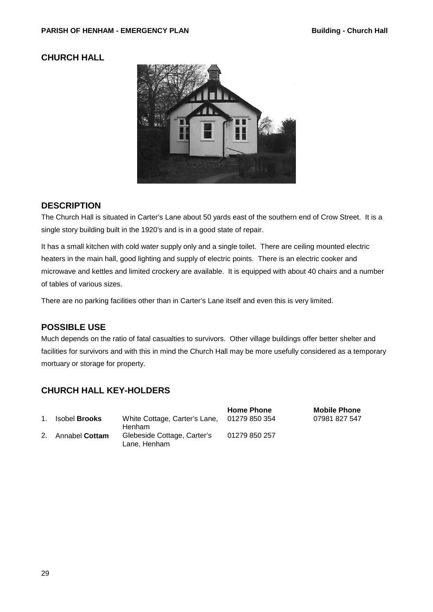## <span id="page-28-1"></span><span id="page-28-0"></span>**CHURCH HALL**



## **DESCRIPTION**

The Church Hall is situated in Carter's Lane about 50 yards east of the southern end of Crow Street. It is a single story building built in the 1920's and is in a good state of repair.

It has a small kitchen with cold water supply only and a single toilet. There are ceiling mounted electric heaters in the main hall, good lighting and supply of electric points. There is an electric cooker and microwave and kettles and limited crockery are available. It is equipped with about 40 chairs and a number of tables of various sizes.

There are no parking facilities other than in Carter's Lane itself and even this is very limited.

### **POSSIBLE USE**

Much depends on the ratio of fatal casualties to survivors. Other village buildings offer better shelter and facilities for survivors and with this in mind the Church Hall may be more usefully considered as a temporary mortuary or storage for property.

## **CHURCH HALL KEY-HOLDERS**

|             |                      |                                                              | <b>Home Phone</b> | <b>Mobile Phone</b> |
|-------------|----------------------|--------------------------------------------------------------|-------------------|---------------------|
| $1_{\cdot}$ | Isobel <b>Brooks</b> | White Cottage, Carter's Lane, 01279 850 354<br><b>Henham</b> |                   | 07981 827 547       |
|             | 2. Annabel Cottam    | Glebeside Cottage, Carter's<br>Lane. Henham                  | 01279 850 257     |                     |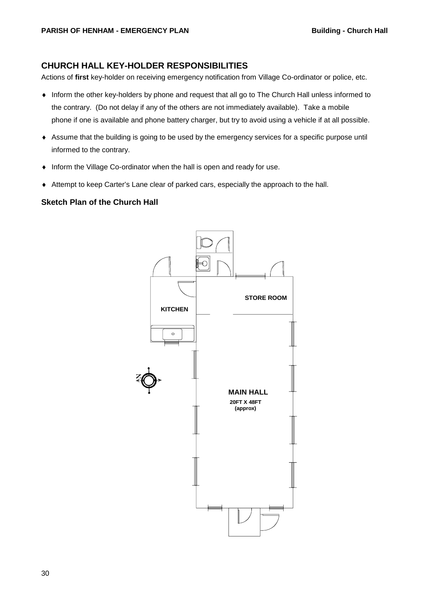#### **CHURCH HALL KEY-HOLDER RESPONSIBILITIES**

Actions of **first** key-holder on receiving emergency notification from Village Co-ordinator or police, etc.

- ♦ Inform the other key-holders by phone and request that all go to The Church Hall unless informed to the contrary. (Do not delay if any of the others are not immediately available). Take a mobile phone if one is available and phone battery charger, but try to avoid using a vehicle if at all possible.
- ♦ Assume that the building is going to be used by the emergency services for a specific purpose until informed to the contrary.
- ♦ Inform the Village Co-ordinator when the hall is open and ready for use.
- ♦ Attempt to keep Carter's Lane clear of parked cars, especially the approach to the hall.

#### **Sketch Plan of the Church Hall**

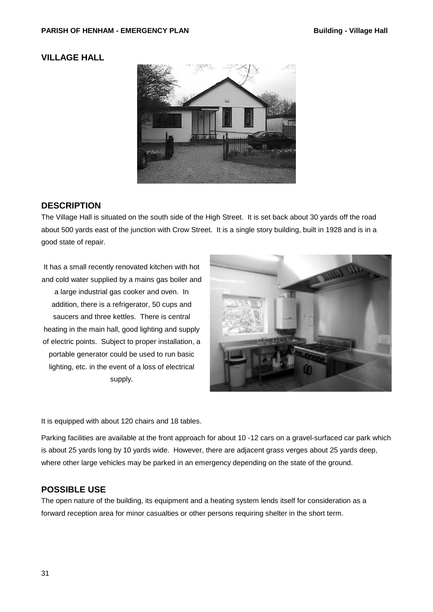### <span id="page-30-1"></span><span id="page-30-0"></span>**VILLAGE HALL**



### **DESCRIPTION**

The Village Hall is situated on the south side of the High Street. It is set back about 30 yards off the road about 500 yards east of the junction with Crow Street. It is a single story building, built in 1928 and is in a good state of repair.

It has a small recently renovated kitchen with hot and cold water supplied by a mains gas boiler and a large industrial gas cooker and oven. In addition, there is a refrigerator, 50 cups and saucers and three kettles. There is central heating in the main hall, good lighting and supply of electric points. Subject to proper installation, a portable generator could be used to run basic lighting, etc. in the event of a loss of electrical supply.



It is equipped with about 120 chairs and 18 tables.

Parking facilities are available at the front approach for about 10 -12 cars on a gravel-surfaced car park which is about 25 yards long by 10 yards wide. However, there are adjacent grass verges about 25 yards deep, where other large vehicles may be parked in an emergency depending on the state of the ground.

### **POSSIBLE USE**

The open nature of the building, its equipment and a heating system lends itself for consideration as a forward reception area for minor casualties or other persons requiring shelter in the short term.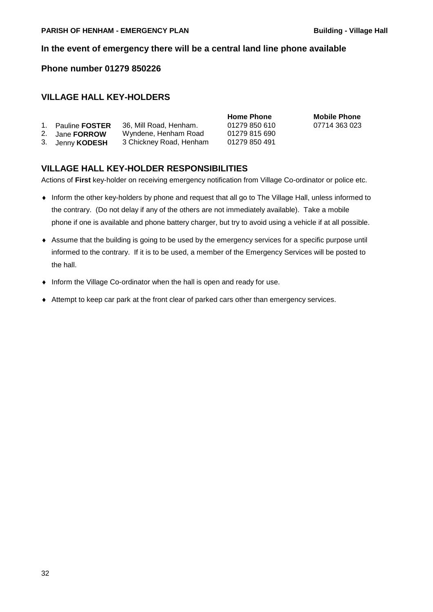#### **In the event of emergency there will be a central land line phone available**

#### **Phone number 01279 850226**

### **VILLAGE HALL KEY-HOLDERS**

|                                                                      | <b>TIOTILE LITTLE</b> |
|----------------------------------------------------------------------|-----------------------|
| 36, Mill Road, Henham.                                               | 01279 850 610         |
| Wyndene, Henham Road                                                 | 01279 815 690         |
| 3 Chickney Road, Henham                                              | 01279 850 491         |
| 1. Pauline <b>FOSTER</b><br>2. Jane <b>FORROW</b><br>3. Jenny KODESH |                       |

**Home Phone Mobile Phone** 07714 363 023

### **VILLAGE HALL KEY-HOLDER RESPONSIBILITIES**

Actions of **First** key-holder on receiving emergency notification from Village Co-ordinator or police etc.

- ♦ Inform the other key-holders by phone and request that all go to The Village Hall, unless informed to the contrary. (Do not delay if any of the others are not immediately available). Take a mobile phone if one is available and phone battery charger, but try to avoid using a vehicle if at all possible.
- ♦ Assume that the building is going to be used by the emergency services for a specific purpose until informed to the contrary. If it is to be used, a member of the Emergency Services will be posted to the hall.
- ♦ Inform the Village Co-ordinator when the hall is open and ready for use.
- ♦ Attempt to keep car park at the front clear of parked cars other than emergency services.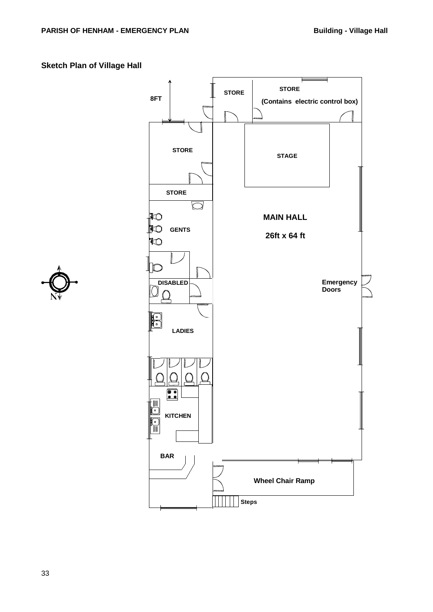## **Sketch Plan of Village Hall**



<span id="page-32-0"></span>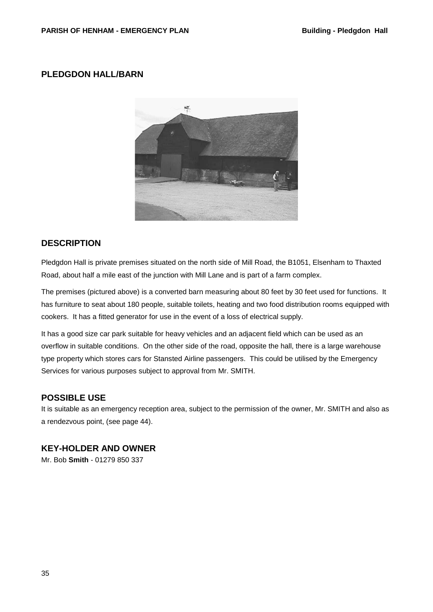### <span id="page-34-0"></span>**PLEDGDON HALL/BARN**



### **DESCRIPTION**

Pledgdon Hall is private premises situated on the north side of Mill Road, the B1051, Elsenham to Thaxted Road, about half a mile east of the junction with Mill Lane and is part of a farm complex.

The premises (pictured above) is a converted barn measuring about 80 feet by 30 feet used for functions. It has furniture to seat about 180 people, suitable toilets, heating and two food distribution rooms equipped with cookers. It has a fitted generator for use in the event of a loss of electrical supply.

It has a good size car park suitable for heavy vehicles and an adjacent field which can be used as an overflow in suitable conditions. On the other side of the road, opposite the hall, there is a large warehouse type property which stores cars for Stansted Airline passengers. This could be utilised by the Emergency Services for various purposes subject to approval from Mr. SMITH.

#### **POSSIBLE USE**

It is suitable as an emergency reception area, subject to the permission of the owner, Mr. SMITH and also as a rendezvous point, (see page [44\)](#page-43-0).

### **KEY-HOLDER AND OWNER**

Mr. Bob **Smith** - 01279 850 337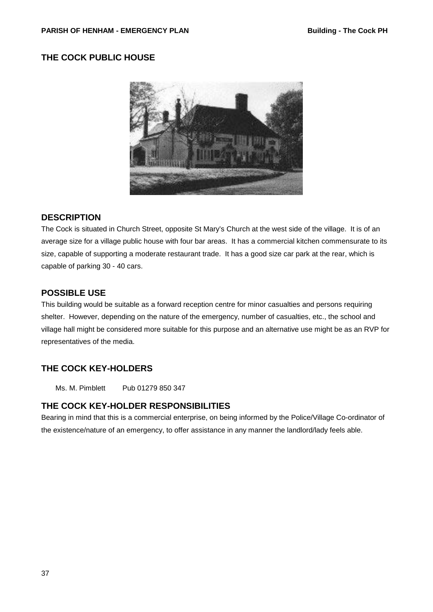## <span id="page-36-0"></span>**THE COCK PUBLIC HOUSE**



### **DESCRIPTION**

The Cock is situated in Church Street, opposite St Mary's Church at the west side of the village. It is of an average size for a village public house with four bar areas. It has a commercial kitchen commensurate to its size, capable of supporting a moderate restaurant trade. It has a good size car park at the rear, which is capable of parking 30 - 40 cars.

### **POSSIBLE USE**

This building would be suitable as a forward reception centre for minor casualties and persons requiring shelter. However, depending on the nature of the emergency, number of casualties, etc., the school and village hall might be considered more suitable for this purpose and an alternative use might be as an RVP for representatives of the media.

## **THE COCK KEY-HOLDERS**

Ms. M. Pimblett Pub 01279 850 347

#### **THE COCK KEY-HOLDER RESPONSIBILITIES**

Bearing in mind that this is a commercial enterprise, on being informed by the Police/Village Co-ordinator of the existence/nature of an emergency, to offer assistance in any manner the landlord/lady feels able.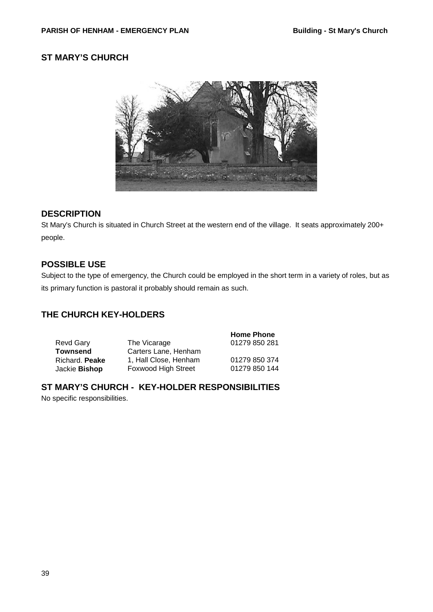## <span id="page-38-0"></span>**ST MARY'S CHURCH**



### **DESCRIPTION**

St Mary's Church is situated in Church Street at the western end of the village. It seats approximately 200+ people.

### **POSSIBLE USE**

Subject to the type of emergency, the Church could be employed in the short term in a variety of roles, but as its primary function is pastoral it probably should remain as such.

## **THE CHURCH KEY-HOLDERS**

**Home Phone** Revd Gary **Townsend**<br>Richard. **Peake** The Vicarage Carters Lane, Henham 01279 850 281 Richard. **Peake** 1, Hall Close, Henham 01279 850 374<br>Jackie Bishop Foxwood High Street 01279 850 144 Foxwood High Street

## **ST MARY'S CHURCH - KEY-HOLDER RESPONSIBILITIES**

No specific responsibilities.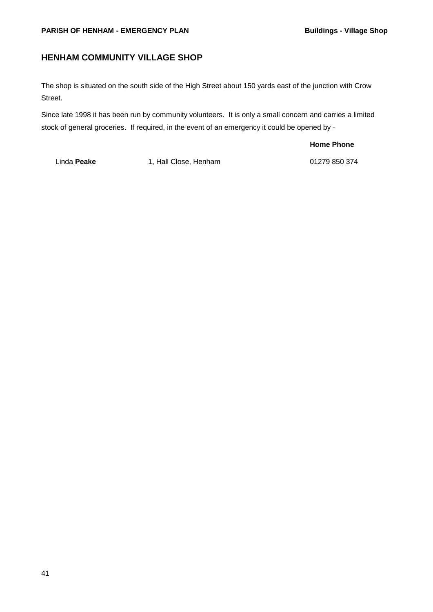#### **PARISH OF HENHAM - EMERGENCY PLAN BUILDINGS - Village Shop**

## <span id="page-40-0"></span>**HENHAM COMMUNITY VILLAGE SHOP**

The shop is situated on the south side of the High Street about 150 yards east of the junction with Crow Street.

Since late 1998 it has been run by community volunteers. It is only a small concern and carries a limited stock of general groceries. If required, in the event of an emergency it could be opened by -

**Home Phone**

Linda **Peake** 1, Hall Close, Henham 01279 850 374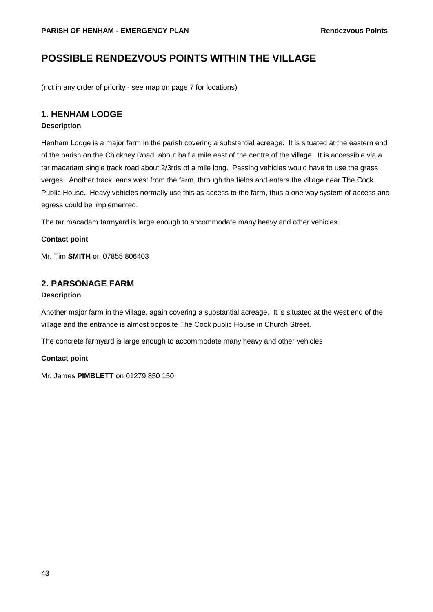## <span id="page-42-0"></span>**POSSIBLE RENDEZVOUS POINTS WITHIN THE VILLAGE**

(not in any order of priority - see map on page [7](#page-6-0) for locations)

### **1. HENHAM LODGE**

#### **Description**

Henham Lodge is a major farm in the parish covering a substantial acreage. It is situated at the eastern end of the parish on the Chickney Road, about half a mile east of the centre of the village. It is accessible via a tar macadam single track road about 2/3rds of a mile long. Passing vehicles would have to use the grass verges. Another track leads west from the farm, through the fields and enters the village near The Cock Public House. Heavy vehicles normally use this as access to the farm, thus a one way system of access and egress could be implemented.

The tar macadam farmyard is large enough to accommodate many heavy and other vehicles.

#### **Contact point**

Mr. Tim **SMITH** on 07855 806403

### **2. PARSONAGE FARM**

#### **Description**

Another major farm in the village, again covering a substantial acreage. It is situated at the west end of the village and the entrance is almost opposite The Cock public House in Church Street.

The concrete farmyard is large enough to accommodate many heavy and other vehicles

#### **Contact point**

Mr. James **PIMBLETT** on 01279 850 150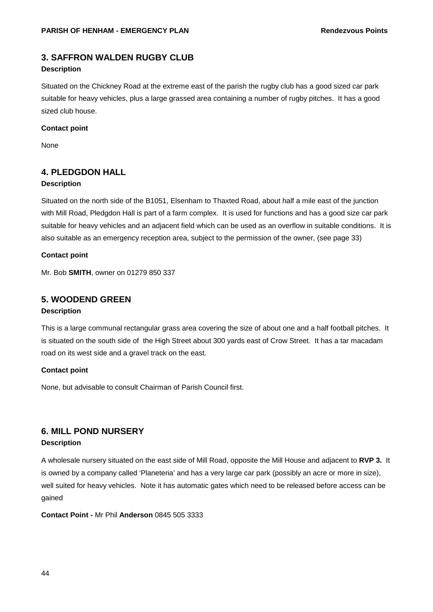## **3. SAFFRON WALDEN RUGBY CLUB**

#### **Description**

Situated on the Chickney Road at the extreme east of the parish the rugby club has a good sized car park suitable for heavy vehicles, plus a large grassed area containing a number of rugby pitches. It has a good sized club house.

#### **Contact point**

None

### <span id="page-43-0"></span>**4. PLEDGDON HALL**

#### **Description**

Situated on the north side of the B1051, Elsenham to Thaxted Road, about half a mile east of the junction with Mill Road, Pledgdon Hall is part of a farm complex. It is used for functions and has a good size car park suitable for heavy vehicles and an adjacent field which can be used as an overflow in suitable conditions. It is also suitable as an emergency reception area, subject to the permission of the owner, (see page [33\)](#page-32-0)

#### **Contact point**

Mr. Bob **SMITH**, owner on 01279 850 337

### **5. WOODEND GREEN**

#### **Description**

This is a large communal rectangular grass area covering the size of about one and a half football pitches. It is situated on the south side of the High Street about 300 yards east of Crow Street. It has a tar macadam road on its west side and a gravel track on the east.

#### **Contact point**

None, but advisable to consult Chairman of Parish Council first.

## **6. MILL POND NURSERY**

#### **Description**

A wholesale nursery situated on the east side of Mill Road, opposite the Mill House and adjacent to **RVP 3.** It is owned by a company called 'Planeteria' and has a very large car park (possibly an acre or more in size), well suited for heavy vehicles. Note it has automatic gates which need to be released before access can be gained

**Contact Point -** Mr Phil **Anderson** 0845 505 3333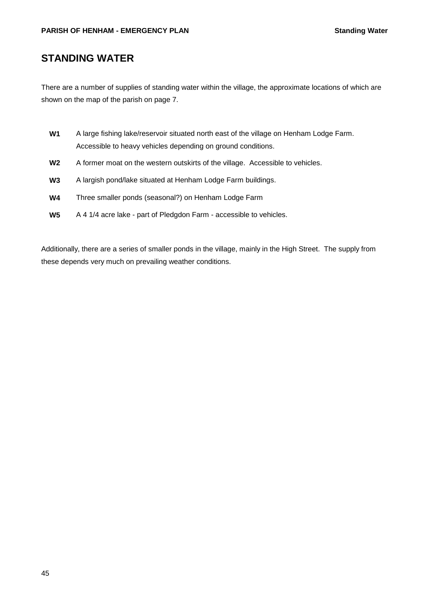## <span id="page-44-0"></span>**STANDING WATER**

There are a number of supplies of standing water within the village, the approximate locations of which are shown on the map of the parish on page [7.](#page-6-0)

- **W1** A large fishing lake/reservoir situated north east of the village on Henham Lodge Farm. Accessible to heavy vehicles depending on ground conditions.
- **W2** A former moat on the western outskirts of the village. Accessible to vehicles.
- **W3** A largish pond/lake situated at Henham Lodge Farm buildings.
- **W4** Three smaller ponds (seasonal?) on Henham Lodge Farm
- **W5** A 4 1/4 acre lake part of Pledgdon Farm accessible to vehicles.

Additionally, there are a series of smaller ponds in the village, mainly in the High Street. The supply from these depends very much on prevailing weather conditions.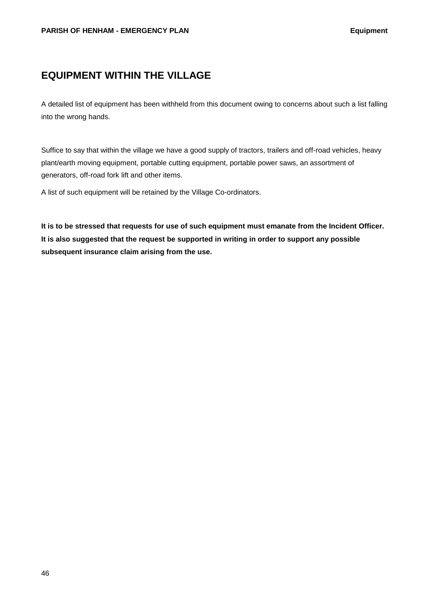## <span id="page-45-0"></span>**EQUIPMENT WITHIN THE VILLAGE**

A detailed list of equipment has been withheld from this document owing to concerns about such a list falling into the wrong hands.

Suffice to say that within the village we have a good supply of tractors, trailers and off-road vehicles, heavy plant/earth moving equipment, portable cutting equipment, portable power saws, an assortment of generators, off-road fork lift and other items.

A list of such equipment will be retained by the Village Co-ordinators.

**It is to be stressed that requests for use of such equipment must emanate from the Incident Officer. It is also suggested that the request be supported in writing in order to support any possible subsequent insurance claim arising from the use.**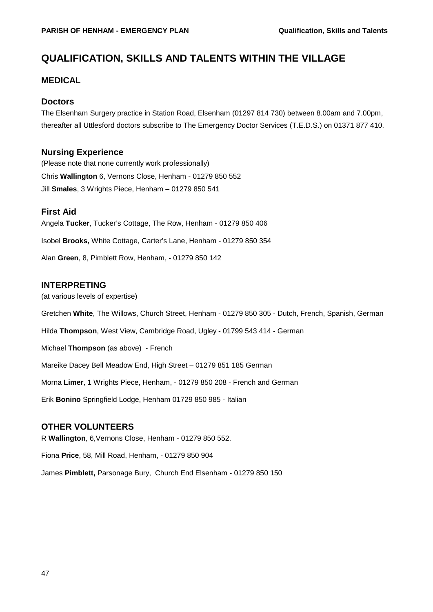## **QUALIFICATION, SKILLS AND TALENTS WITHIN THE VILLAGE**

#### **MEDICAL**

#### **Doctors**

The Elsenham Surgery practice in Station Road, Elsenham (01297 814 730) between 8.00am and 7.00pm, thereafter all Uttlesford doctors subscribe to The Emergency Doctor Services (T.E.D.S.) on 01371 877 410.

#### **Nursing Experience**

(Please note that none currently work professionally) Chris **Wallington** 6, Vernons Close, Henham - 01279 850 552 Jill **Smales**, 3 Wrights Piece, Henham – 01279 850 541

#### **First Aid**

Angela **Tucker**, Tucker's Cottage, The Row, Henham - 01279 850 406 Isobel **Brooks,** White Cottage, Carter's Lane, Henham - 01279 850 354 Alan **Green**, 8, Pimblett Row, Henham, - 01279 850 142

#### **INTERPRETING**

(at various levels of expertise)

Gretchen **White**, The Willows, Church Street, Henham - 01279 850 305 - Dutch, French, Spanish, German

Hilda **Thompson**, West View, Cambridge Road, Ugley - 01799 543 414 - German

Michael **Thompson** (as above) - French

Mareike Dacey Bell Meadow End, High Street – 01279 851 185 German

Morna **Limer**, 1 Wrights Piece, Henham, - 01279 850 208 - French and German

Erik **Bonino** Springfield Lodge, Henham 01729 850 985 - Italian

#### **OTHER VOLUNTEERS**

R **Wallington**, 6,Vernons Close, Henham - 01279 850 552.

Fiona **Price**, 58, Mill Road, Henham, - 01279 850 904

James **Pimblett,** Parsonage Bury, Church End Elsenham - 01279 850 150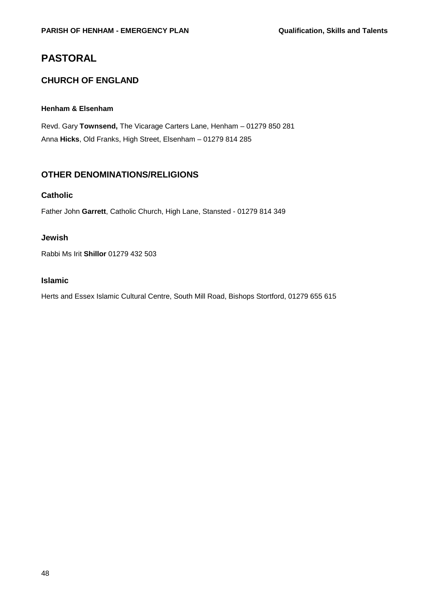## **PASTORAL**

## **CHURCH OF ENGLAND**

#### **Henham & Elsenham**

Revd. Gary **Townsend,** The Vicarage Carters Lane, Henham – 01279 850 281 Anna **Hicks**, Old Franks, High Street, Elsenham – 01279 814 285

## **OTHER DENOMINATIONS/RELIGIONS**

#### **Catholic**

Father John **Garrett**, Catholic Church, High Lane, Stansted - 01279 814 349

#### **Jewish**

Rabbi Ms Irit **Shillor** 01279 432 503

#### **Islamic**

Herts and Essex Islamic Cultural Centre, South Mill Road, Bishops Stortford, 01279 655 615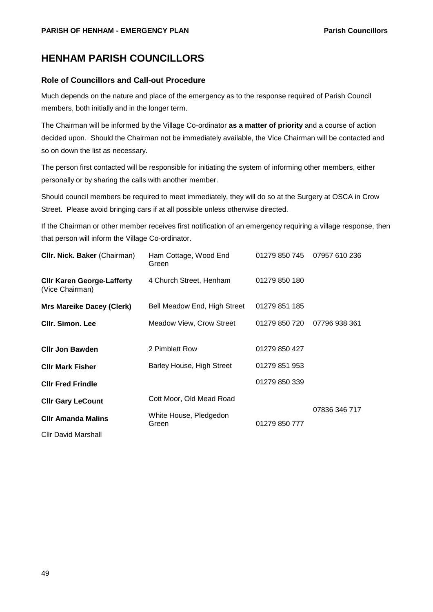## <span id="page-48-0"></span>**HENHAM PARISH COUNCILLORS**

#### **Role of Councillors and Call-out Procedure**

Much depends on the nature and place of the emergency as to the response required of Parish Council members, both initially and in the longer term.

The Chairman will be informed by the Village Co-ordinator **as a matter of priority** and a course of action decided upon. Should the Chairman not be immediately available, the Vice Chairman will be contacted and so on down the list as necessary.

The person first contacted will be responsible for initiating the system of informing other members, either personally or by sharing the calls with another member.

Should council members be required to meet immediately, they will do so at the Surgery at OSCA in Crow Street. Please avoid bringing cars if at all possible unless otherwise directed.

If the Chairman or other member receives first notification of an emergency requiring a village response, then that person will inform the Village Co-ordinator.

| CIIr. Nick. Baker (Chairman)                         | Ham Cottage, Wood End<br>Green  | 01279 850 745 | 07957 610 236 |
|------------------------------------------------------|---------------------------------|---------------|---------------|
| <b>Clir Karen George-Lafferty</b><br>(Vice Chairman) | 4 Church Street, Henham         | 01279 850 180 |               |
| <b>Mrs Mareike Dacey (Clerk)</b>                     | Bell Meadow End, High Street    | 01279 851 185 |               |
| <b>CIIr. Simon. Lee</b>                              | Meadow View, Crow Street        | 01279 850 720 | 07796 938 361 |
| <b>Clir Jon Bawden</b>                               | 2 Pimblett Row                  | 01279 850 427 |               |
| <b>CIIr Mark Fisher</b>                              | Barley House, High Street       | 01279 851 953 |               |
| <b>CIIr Fred Frindle</b>                             |                                 | 01279 850 339 |               |
| <b>CIIr Gary LeCount</b>                             | Cott Moor, Old Mead Road        |               |               |
| <b>CIIr Amanda Malins</b>                            | White House, Pledgedon<br>Green | 01279 850 777 | 07836 346 717 |
| <b>CIIr David Marshall</b>                           |                                 |               |               |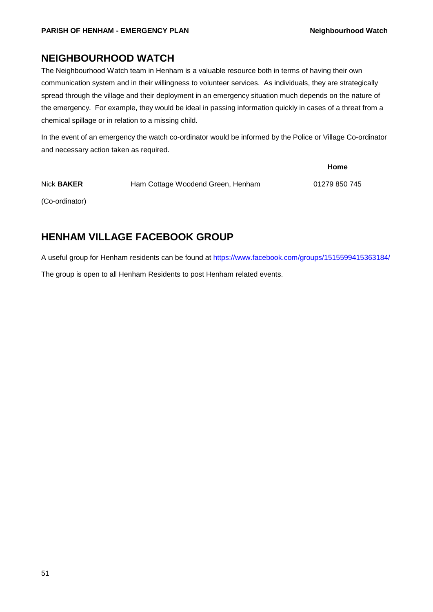## **NEIGHBOURHOOD WATCH**

The Neighbourhood Watch team in Henham is a valuable resource both in terms of having their own communication system and in their willingness to volunteer services. As individuals, they are strategically spread through the village and their deployment in an emergency situation much depends on the nature of the emergency. For example, they would be ideal in passing information quickly in cases of a threat from a chemical spillage or in relation to a missing child.

In the event of an emergency the watch co-ordinator would be informed by the Police or Village Co-ordinator and necessary action taken as required.

|                   |                                   | Home          |
|-------------------|-----------------------------------|---------------|
| Nick <b>BAKER</b> | Ham Cottage Woodend Green, Henham | 01279 850 745 |
| (Co-ordinator)    |                                   |               |

## **HENHAM VILLAGE FACEBOOK GROUP**

A useful group for Henham residents can be found at<https://www.facebook.com/groups/1515599415363184/> The group is open to all Henham Residents to post Henham related events.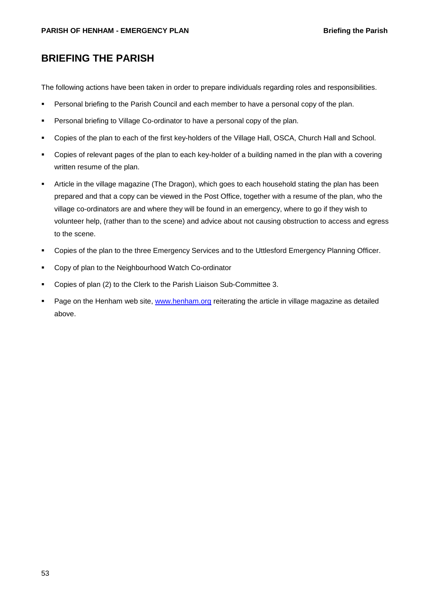## <span id="page-52-0"></span>**BRIEFING THE PARISH**

The following actions have been taken in order to prepare individuals regarding roles and responsibilities.

- **Personal briefing to the Parish Council and each member to have a personal copy of the plan.**
- **Personal briefing to Village Co-ordinator to have a personal copy of the plan.**
- Copies of the plan to each of the first key-holders of the Village Hall, OSCA, Church Hall and School.
- Copies of relevant pages of the plan to each key-holder of a building named in the plan with a covering written resume of the plan.
- Article in the village magazine (The Dragon), which goes to each household stating the plan has been prepared and that a copy can be viewed in the Post Office, together with a resume of the plan, who the village co-ordinators are and where they will be found in an emergency, where to go if they wish to volunteer help, (rather than to the scene) and advice about not causing obstruction to access and egress to the scene.
- Copies of the plan to the three Emergency Services and to the Uttlesford Emergency Planning Officer.
- **Copy of plan to the Neighbourhood Watch Co-ordinator**
- Copies of plan (2) to the Clerk to the Parish Liaison Sub-Committee 3.
- **Page on the Henham web site, [www.henham.org](http://www.henham.org/) reiterating the article in village magazine as detailed** above.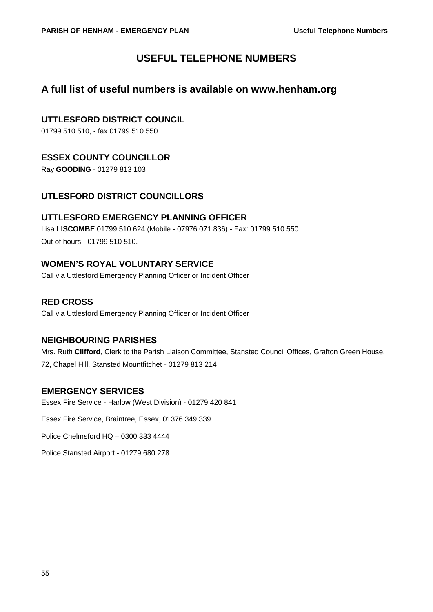## **USEFUL TELEPHONE NUMBERS**

## <span id="page-54-0"></span>**A full list of useful numbers is available on www.henham.org**

## **UTTLESFORD DISTRICT COUNCIL**

01799 510 510, - fax 01799 510 550

## <span id="page-54-1"></span>**ESSEX COUNTY COUNCILLOR**

Ray **GOODING** - 01279 813 103

## **UTLESFORD DISTRICT COUNCILLORS**

## **UTTLESFORD EMERGENCY PLANNING OFFICER**

Lisa **LISCOMBE** 01799 510 624 (Mobile - 07976 071 836) - Fax: 01799 510 550. Out of hours - 01799 510 510.

## **WOMEN'S ROYAL VOLUNTARY SERVICE**

Call via Uttlesford Emergency Planning Officer or Incident Officer

## **RED CROSS**

Call via Uttlesford Emergency Planning Officer or Incident Officer

### **NEIGHBOURING PARISHES**

Mrs. Ruth **Clifford**, Clerk to the Parish Liaison Committee, Stansted Council Offices, Grafton Green House, 72, Chapel Hill, Stansted Mountfitchet - 01279 813 214

## **EMERGENCY SERVICES**

Essex Fire Service - Harlow (West Division) - 01279 420 841

Essex Fire Service, Braintree, Essex, 01376 349 339

Police Chelmsford HQ – 0300 333 4444

Police Stansted Airport - 01279 680 278